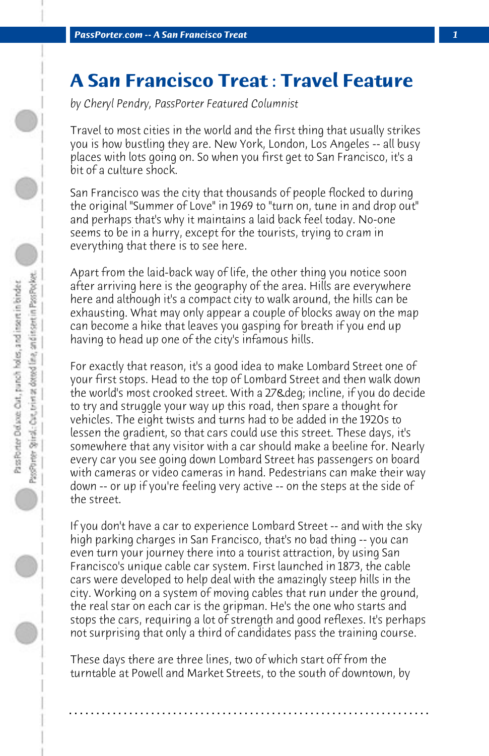## **A San Francisco Treat : Travel Feature**

*by Cheryl Pendry, PassPorter Featured Columnist*

Travel to most cities in the world and the first thing that usually strikes you is how bustling they are. New York, London, Los Angeles -- all busy places with lots going on. So when you first get to San Francisco, it's a bit of a culture shock.

San Francisco was the city that thousands of people flocked to during the original "Summer of Love" in 1969 to "turn on, tune in and drop out" and perhaps that's why it maintains a laid back feel today. No-one seems to be in a hurry, except for the tourists, trying to cram in everything that there is to see here.

Apart from the laid-back way of life, the other thing you notice soon after arriving here is the geography of the area. Hills are everywhere here and although it's a compact city to walk around, the hills can be exhausting. What may only appear a couple of blocks away on the map can become a hike that leaves you gasping for breath if you end up having to head up one of the city's infamous hills.

For exactly that reason, it's a good idea to make Lombard Street one of your first stops. Head to the top of Lombard Street and then walk down the world's most crooked street. With a 27° incline, if you do decide to try and struggle your way up this road, then spare a thought for vehicles. The eight twists and turns had to be added in the 1920s to lessen the gradient, so that cars could use this street. These days, it's somewhere that any visitor with a car should make a beeline for. Nearly every car you see going down Lombard Street has passengers on board with cameras or video cameras in hand. Pedestrians can make their way down -- or up if you're feeling very active -- on the steps at the side of the street.

If you don't have a car to experience Lombard Street -- and with the sky high parking charges in San Francisco, that's no bad thing -- you can even turn your journey there into a tourist attraction, by using San Francisco's unique cable car system. First launched in 1873, the cable cars were developed to help deal with the amazingly steep hills in the city. Working on a system of moving cables that run under the ground, the real star on each car is the gripman. He's the one who starts and stops the cars, requiring a lot of strength and good reflexes. It's perhaps not surprising that only a third of candidates pass the training course.

These days there are three lines, two of which start off from the turntable at Powell and Market Streets, to the south of downtown, by

**. . . . . . . . . . . . . . . . . . . . . . . . . . . . . . . . . . . . . . . . . . . . . . . . . . . . . . . . . . . . . . . . . .**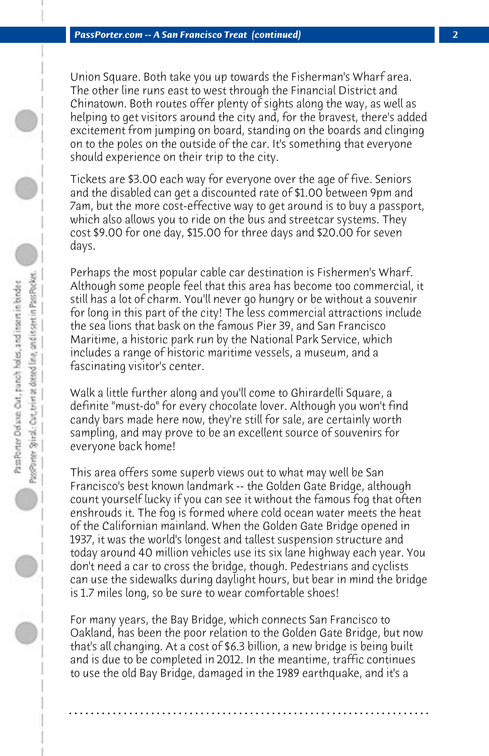Union Square. Both take you up towards the Fisherman's Wharf area. The other line runs east to west through the Financial District and Chinatown. Both routes offer plenty of sights along the way, as well as helping to get visitors around the city and, for the bravest, there's added excitement from jumping on board, standing on the boards and clinging on to the poles on the outside of the car. It's something that everyone should experience on their trip to the city.

Tickets are \$3.00 each way for everyone over the age of five. Seniors and the disabled can get a discounted rate of \$1.00 between 9pm and 7am, but the more cost-effective way to get around is to buy a passport, which also allows you to ride on the bus and streetcar systems. They cost \$9.00 for one day, \$15.00 for three days and \$20.00 for seven days.

Perhaps the most popular cable car destination is Fishermen's Wharf. Although some people feel that this area has become too commercial, it still has a lot of charm. You'll never go hungry or be without a souvenir for long in this part of the city! The less commercial attractions include the sea lions that bask on the famous Pier 39, and San Francisco Maritime, a historic park run by the National Park Service, which includes a range of historic maritime vessels, a museum, and a fascinating visitor's center.

Walk a little further along and you'll come to Ghirardelli Square, a definite "must-do" for every chocolate lover. Although you won't find candy bars made here now, they're still for sale, are certainly worth sampling, and may prove to be an excellent source of souvenirs for everyone back home!

This area offers some superb views out to what may well be San Francisco's best known landmark -- the Golden Gate Bridge, although count yourself lucky if you can see it without the famous fog that often enshrouds it. The fog is formed where cold ocean water meets the heat of the Californian mainland. When the Golden Gate Bridge opened in 1937, it was the world's longest and tallest suspension structure and today around 40 million vehicles use its six lane highway each year. You don't need a car to cross the bridge, though. Pedestrians and cyclists can use the sidewalks during daylight hours, but bear in mind the bridge is 1.7 miles long, so be sure to wear comfortable shoes!

For many years, the Bay Bridge, which connects San Francisco to Oakland, has been the poor relation to the Golden Gate Bridge, but now that's all changing. At a cost of \$6.3 billion, a new bridge is being built and is due to be completed in 2012. In the meantime, traffic continues to use the old Bay Bridge, damaged in the 1989 earthquake, and it's a

**. . . . . . . . . . . . . . . . . . . . . . . . . . . . . . . . . . . . . . . . . . . . . . . . . . . . . . . . . . . . . . . . . .**